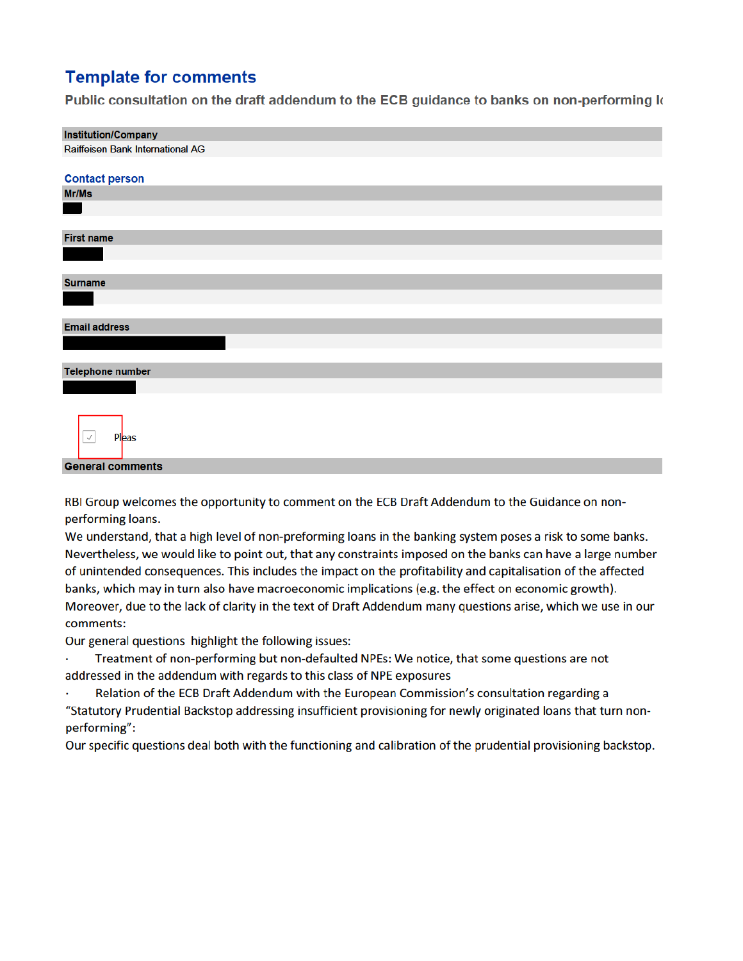## **Template for comments**

Public consultation on the draft addendum to the ECB guidance to banks on non-performing k

| <b>Institution/Company</b>       |  |  |  |  |  |  |  |
|----------------------------------|--|--|--|--|--|--|--|
| Raiffeisen Bank International AG |  |  |  |  |  |  |  |
|                                  |  |  |  |  |  |  |  |
| <b>Contact person</b>            |  |  |  |  |  |  |  |
| Mr/Ms                            |  |  |  |  |  |  |  |
| a sa n                           |  |  |  |  |  |  |  |
|                                  |  |  |  |  |  |  |  |
| <b>First name</b>                |  |  |  |  |  |  |  |
|                                  |  |  |  |  |  |  |  |
|                                  |  |  |  |  |  |  |  |
| <b>Surname</b>                   |  |  |  |  |  |  |  |
|                                  |  |  |  |  |  |  |  |
|                                  |  |  |  |  |  |  |  |
| <b>Email address</b>             |  |  |  |  |  |  |  |
|                                  |  |  |  |  |  |  |  |
|                                  |  |  |  |  |  |  |  |
| <b>Telephone number</b>          |  |  |  |  |  |  |  |
|                                  |  |  |  |  |  |  |  |
|                                  |  |  |  |  |  |  |  |
|                                  |  |  |  |  |  |  |  |
| $\cal J$<br>Pleas                |  |  |  |  |  |  |  |
|                                  |  |  |  |  |  |  |  |
| <b>General comments</b>          |  |  |  |  |  |  |  |
|                                  |  |  |  |  |  |  |  |

RBI Group welcomes the opportunity to comment on the ECB Draft Addendum to the Guidance on nonperforming loans.

We understand, that a high level of non-preforming loans in the banking system poses a risk to some banks. Nevertheless, we would like to point out, that any constraints imposed on the banks can have a large number of unintended consequences. This includes the impact on the profitability and capitalisation of the affected banks, which may in turn also have macroeconomic implications (e.g. the effect on economic growth). Moreover, due to the lack of clarity in the text of Draft Addendum many questions arise, which we use in our comments:

Our general questions highlight the following issues:

Treatment of non-performing but non-defaulted NPEs: We notice, that some questions are not addressed in the addendum with regards to this class of NPE exposures

Relation of the ECB Draft Addendum with the European Commission's consultation regarding a "Statutory Prudential Backstop addressing insufficient provisioning for newly originated loans that turn nonperforming":

Our specific questions deal both with the functioning and calibration of the prudential provisioning backstop.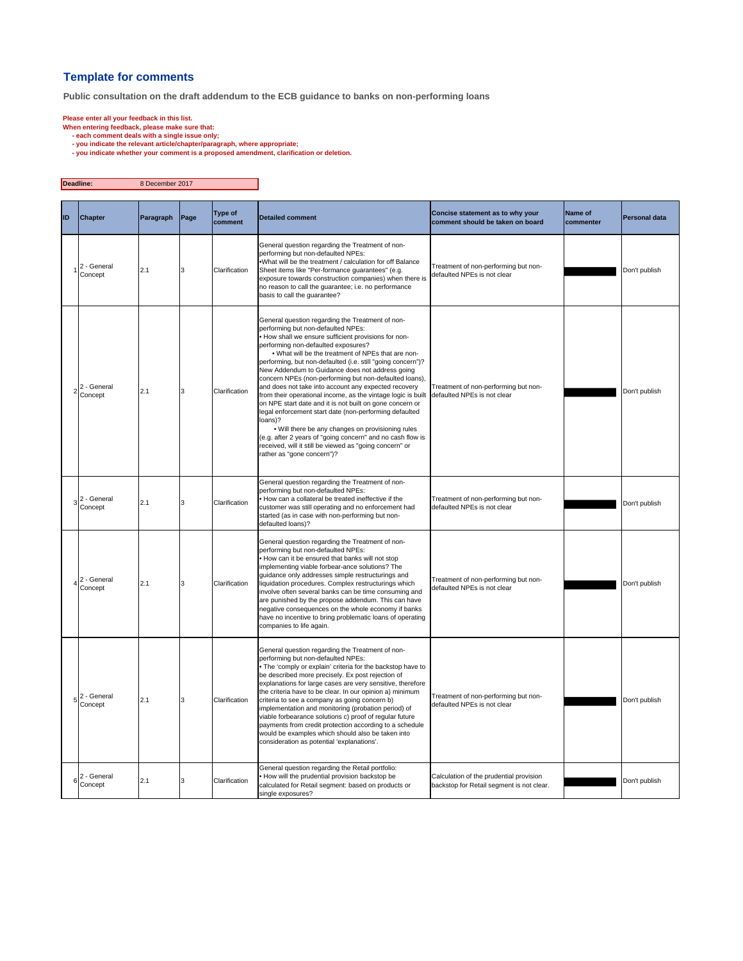## **Template for comments**

**Public consultation on the draft addendum to the ECB guidance to banks on non-performing loans**

- 
- 
- Please enter all your feedback in this list.<br>When entering feedback, please make sure that:<br>- each comment deals with a single issue only;<br>you indicate the relevant atticle/chapter/paragraph, where appropriate;<br>- you indic

| Deadline:      |                        | 8 December 2017 |      |                    |                                                                                                                                                                                                                                                                                                                                                                                                                                                                                                                                                                                                                                                                                                                                                                                                                                                                                            |                                                                                      |                             |                      |
|----------------|------------------------|-----------------|------|--------------------|--------------------------------------------------------------------------------------------------------------------------------------------------------------------------------------------------------------------------------------------------------------------------------------------------------------------------------------------------------------------------------------------------------------------------------------------------------------------------------------------------------------------------------------------------------------------------------------------------------------------------------------------------------------------------------------------------------------------------------------------------------------------------------------------------------------------------------------------------------------------------------------------|--------------------------------------------------------------------------------------|-----------------------------|----------------------|
| ID             | <b>Chapter</b>         | Paragraph       | Page | Type of<br>comment | <b>Detailed comment</b>                                                                                                                                                                                                                                                                                                                                                                                                                                                                                                                                                                                                                                                                                                                                                                                                                                                                    | Concise statement as to why your<br>comment should be taken on board                 | <b>Name of</b><br>commenter | <b>Personal data</b> |
|                | 2 - General<br>Concept | 2.1             | 3    | Clarification      | General question regarding the Treatment of non-<br>performing but non-defaulted NPEs:<br>.What will be the treatment / calculation for off Balance<br>Sheet items like "Per-formance guarantees" (e.g.<br>exposure towards construction companies) when there is<br>no reason to call the guarantee; i.e. no performance<br>basis to call the guarantee?                                                                                                                                                                                                                                                                                                                                                                                                                                                                                                                                  | Treatment of non-performing but non-<br>defaulted NPEs is not clear                  |                             | Don't publish        |
|                | 2 - General<br>Concept | 2.1             | 3    | Clarification      | General question regarding the Treatment of non-<br>performing but non-defaulted NPEs:<br>How shall we ensure sufficient provisions for non-<br>performing non-defaulted exposures?<br>. What will be the treatment of NPEs that are non-<br>performing, but non-defaulted (i.e. still "going concern")?<br>New Addendum to Guidance does not address going<br>concern NPEs (non-performing but non-defaulted loans),<br>and does not take into account any expected recovery<br>from their operational income, as the vintage logic is built<br>on NPE start date and it is not built on gone concern or<br>legal enforcement start date (non-performing defaulted<br>loans)?<br>. Will there be any changes on provisioning rules<br>(e.g. after 2 years of "going concern" and no cash flow is<br>received, will it still be viewed as "going concern" or<br>rather as "gone concern")? | Treatment of non-performing but non-<br>defaulted NPEs is not clear                  |                             | Don't publish        |
| 3              | 2 - General<br>Concept | 2.1             | 3    | Clarification      | General question regarding the Treatment of non-<br>performing but non-defaulted NPEs:<br>. How can a collateral be treated ineffective if the<br>customer was still operating and no enforcement had<br>started (as in case with non-performing but non-<br>defaulted loans)?                                                                                                                                                                                                                                                                                                                                                                                                                                                                                                                                                                                                             | Treatment of non-performing but non-<br>defaulted NPEs is not clear                  |                             | Don't publish        |
| $\overline{4}$ | 2 - General<br>Concept | 2.1             | 3    | Clarification      | General question regarding the Treatment of non-<br>performing but non-defaulted NPEs:<br>How can it be ensured that banks will not stop<br>implementing viable forbear-ance solutions? The<br>guidance only addresses simple restructurings and<br>liquidation procedures. Complex restructurings which<br>involve often several banks can be time consuming and<br>are punished by the propose addendum. This can have<br>negative consequences on the whole economy if banks<br>have no incentive to bring problematic loans of operating<br>companies to life again.                                                                                                                                                                                                                                                                                                                   | Treatment of non-performing but non-<br>defaulted NPEs is not clear                  |                             | Don't publish        |
| 5              | 2 - General<br>Concept | 2.1             | 3    | Clarification      | General question regarding the Treatment of non-<br>performing but non-defaulted NPEs:<br>The 'comply or explain' criteria for the backstop have to<br>be described more precisely. Ex post rejection of<br>explanations for large cases are very sensitive, therefore<br>the criteria have to be clear. In our opinion a) minimum<br>criteria to see a company as going concern b)<br>implementation and monitoring (probation period) of<br>viable forbearance solutions c) proof of regular future<br>payments from credit protection according to a schedule<br>would be examples which should also be taken into<br>consideration as potential 'explanations'.                                                                                                                                                                                                                        | Treatment of non-performing but non-<br>defaulted NPEs is not clear                  |                             | Don't publish        |
| $\,6\,$        | 2 - General<br>Concept | 2.1             | 3    | Clarification      | General question regarding the Retail portfolio:<br>. How will the prudential provision backstop be<br>calculated for Retail segment: based on products or<br>single exposures?                                                                                                                                                                                                                                                                                                                                                                                                                                                                                                                                                                                                                                                                                                            | Calculation of the prudential provision<br>backstop for Retail segment is not clear. |                             | Don't publish        |